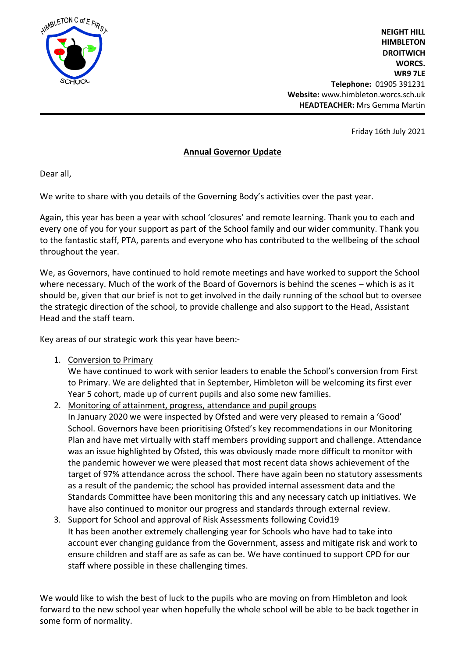

**NEIGHT HILL HIMBLETON DROITWICH WORCS. WR9 7LE Telephone:** 01905 391231 **Website:** www.himbleton.worcs.sch.uk  **HEADTEACHER:** Mrs Gemma Martin

Friday 16th July 2021

## **Annual Governor Update**

Dear all,

We write to share with you details of the Governing Body's activities over the past year.

Again, this year has been a year with school 'closures' and remote learning. Thank you to each and every one of you for your support as part of the School family and our wider community. Thank you to the fantastic staff, PTA, parents and everyone who has contributed to the wellbeing of the school throughout the year.

We, as Governors, have continued to hold remote meetings and have worked to support the School where necessary. Much of the work of the Board of Governors is behind the scenes – which is as it should be, given that our brief is not to get involved in the daily running of the school but to oversee the strategic direction of the school, to provide challenge and also support to the Head, Assistant Head and the staff team.

Key areas of our strategic work this year have been:-

1. Conversion to Primary

We have continued to work with senior leaders to enable the School's conversion from First to Primary. We are delighted that in September, Himbleton will be welcoming its first ever Year 5 cohort, made up of current pupils and also some new families.

- 2. Monitoring of attainment, progress, attendance and pupil groups In January 2020 we were inspected by Ofsted and were very pleased to remain a 'Good' School. Governors have been prioritising Ofsted's key recommendations in our Monitoring Plan and have met virtually with staff members providing support and challenge. Attendance was an issue highlighted by Ofsted, this was obviously made more difficult to monitor with the pandemic however we were pleased that most recent data shows achievement of the target of 97% attendance across the school. There have again been no statutory assessments as a result of the pandemic; the school has provided internal assessment data and the Standards Committee have been monitoring this and any necessary catch up initiatives. We have also continued to monitor our progress and standards through external review.
- 3. Support for School and approval of Risk Assessments following Covid19 It has been another extremely challenging year for Schools who have had to take into account ever changing guidance from the Government, assess and mitigate risk and work to ensure children and staff are as safe as can be. We have continued to support CPD for our staff where possible in these challenging times.

We would like to wish the best of luck to the pupils who are moving on from Himbleton and look forward to the new school year when hopefully the whole school will be able to be back together in some form of normality.